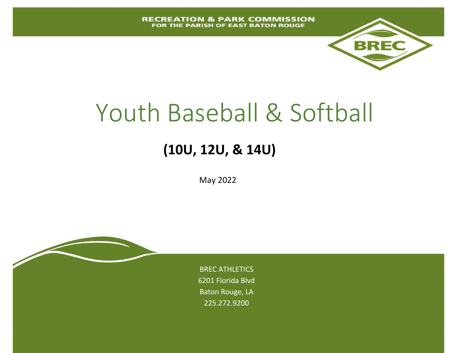

# Youth Baseball & Softball

# **(10U, 12U, & 14U)**

May 2022

BREC ATHLETICS 6201 Florida Blvd Baton Rouge, LA 225.272.9200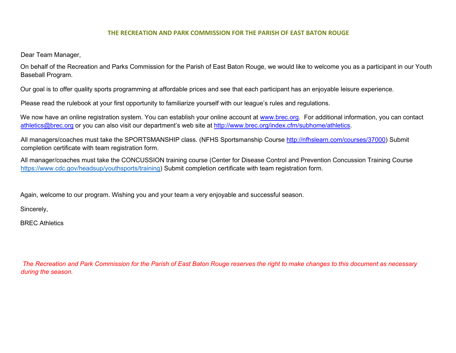#### **THE RECREATION AND PARK COMMISSION FOR THE PARISH OF EAST BATON ROUGE**

Dear Team Manager,

On behalf of the Recreation and Parks Commission for the Parish of East Baton Rouge, we would like to welcome you as a participant in our Youth Baseball Program.

Our goal is to offer quality sports programming at affordable prices and see that each participant has an enjoyable leisure experience.

Please read the rulebook at your first opportunity to familiarize yourself with our league's rules and regulations.

We now have an online registration system. You can establish your online account at [www.brec.org.](http://www.brec.org/) For additional information, you can contact athletics@brec.org or you can also visit our department's web site at [http://www.brec.org/index.cfm/subhome/athletics.](http://www.brec.org/index.cfm/subhome/athletics) 

All managers/coaches must take the SPORTSMANSHIP class. (NFHS Sportsmanship Course [http://nfhslearn.com/courses/37000\)](http://nfhslearn.com/courses/37000) Submit completion certificate with team registration form.

All manager/coaches must take the CONCUSSION training course (Center for Disease Control and Prevention Concussion Training Course [https://www.cdc.gov/headsup/youthsports/training\)](https://www.cdc.gov/headsup/youthsports/training) Submit completion certificate with team registration form.

Again, welcome to our program. Wishing you and your team a very enjoyable and successful season.

Sincerely,

BREC Athletics

*The Recreation and Park Commission for the Parish of East Baton Rouge reserves the right to make changes to this document as necessary during the season.*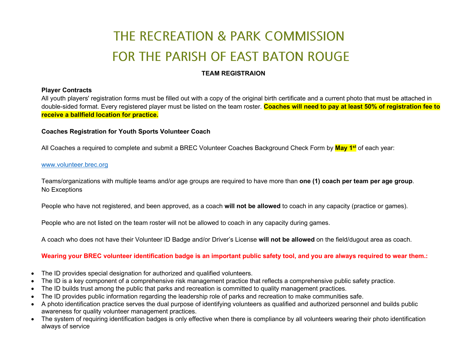# THE RECREATION & PARK COMMISSION FOR THE PARISH OF EAST BATON ROUGE

#### **TEAM REGISTRAION**

#### **Player Contracts**

All youth players' registration forms must be filled out with a copy of the original birth certificate and a current photo that must be attached in double-sided format. Every registered player must be listed on the team roster. **Coaches will need to pay at least 50% of registration fee to receive a ballfield location for practice.**

#### **Coaches Registration for Youth Sports Volunteer Coach**

All Coaches a required to complete and submit a BREC Volunteer Coaches Background Check Form by **May 1st** of each year:

#### [www.volunteer.brec.org](http://www.volunteer.brec.org/)

Teams/organizations with multiple teams and/or age groups are required to have more than **one (1) coach per team per age group**. No Exceptions

People who have not registered, and been approved, as a coach **will not be allowed** to coach in any capacity (practice or games).

People who are not listed on the team roster will not be allowed to coach in any capacity during games.

A coach who does not have their Volunteer ID Badge and/or Driver's License **will not be allowed** on the field/dugout area as coach.

#### **Wearing your BREC volunteer identification badge is an important public safety tool, and you are always required to wear them.:**

- The ID provides special designation for authorized and qualified volunteers.
- The ID is a key component of a comprehensive risk management practice that reflects a comprehensive public safety practice.
- The ID builds trust among the public that parks and recreation is committed to quality management practices.
- The ID provides public information regarding the leadership role of parks and recreation to make communities safe.
- A photo identification practice serves the dual purpose of identifying volunteers as qualified and authorized personnel and builds public awareness for quality volunteer management practices.
- The system of requiring identification badges is only effective when there is compliance by all volunteers wearing their photo identification always of service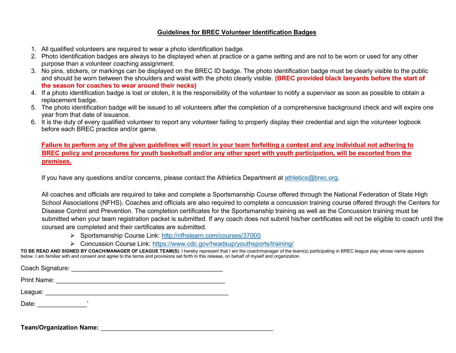#### **Guidelines for BREC Volunteer Identification Badges**

- 1. All qualified volunteers are required to wear a photo identification badge.
- 2. Photo identification badges are always to be displayed when at practice or a game setting and are not to be worn or used for any other purpose than a volunteer coaching assignment.
- 3. No pins, stickers, or markings can be displayed on the BREC ID badge. The photo identification badge must be clearly visible to the public and should be worn between the shoulders and waist with the photo clearly visible. **(BREC provided black lanyards before the start of the season for coaches to wear around their necks)**
- 4. If a photo identification badge is lost or stolen, it is the responsibility of the volunteer to notify a supervisor as soon as possible to obtain a replacement badge.
- 5. The photo identification badge will be issued to all volunteers after the completion of a comprehensive background check and will expire one year from that date of issuance.
- 6. It is the duty of every qualified volunteer to report any volunteer failing to properly display their credential and sign the volunteer logbook before each BREC practice and/or game.

**Failure to perform any of the given guidelines will resort in your team forfeiting a contest and any individual not adhering to BREC policy and procedures for youth basketball and/or any other sport with youth participation, will be escorted from the premises.** 

If you have any questions and/or concerns, please contact the Athletics Department at [athletics@brec.org.](mailto:athletics@brec.org)

All coaches and officials are required to take and complete a Sportsmanship Course offered through the National Federation of State High School Associations (NFHS). Coaches and officials are also required to complete a concussion training course offered through the Centers for Disease Control and Prevention. The completion certificates for the Sportsmanship training as well as the Concussion training must be submitted when your team registration packet is submitted. If any coach does not submit his/her certificates will not be eligible to coach until the coursed are completed and their certificates are submitted.

- Sportsmanship Course Link:<http://nfhslearn.com/courses/37000>
- Concussion Course Link:<https://www.cdc.gov/headsup/youthsports/training/>

**TO BE READ AND SIGNED BY COACH/MANAGER OF LEAGUE TEAM(S)**: I hereby represent that I am the coach/manager of the team(s) participating in BREC league play whose name appears below. I am familiar with and consent and agree to the terms and provisions set forth in this release, on behalf of myself and organization.

Coach Signature: \_\_\_\_\_\_\_\_\_\_\_\_\_\_\_\_\_\_\_\_\_\_\_\_\_\_\_\_\_\_\_\_\_\_\_\_\_\_\_\_\_\_\_ Print Name: \_\_\_\_\_\_\_\_\_\_\_\_\_\_\_\_\_\_\_\_\_\_\_\_\_\_\_\_\_\_\_\_\_\_\_\_\_\_\_\_\_\_\_\_\_\_\_\_

League: \_\_\_\_\_\_\_\_\_\_\_\_\_\_\_\_\_\_\_\_\_\_\_\_\_\_\_\_\_\_\_\_\_\_\_\_\_\_\_\_\_\_\_\_\_\_\_\_\_\_\_\_

Date: \_\_\_\_\_\_\_\_\_\_\_\_\_\_'

**Team/Organization Name: Name:** *CONDITERMORER ARRANGEMENT CONDITENT*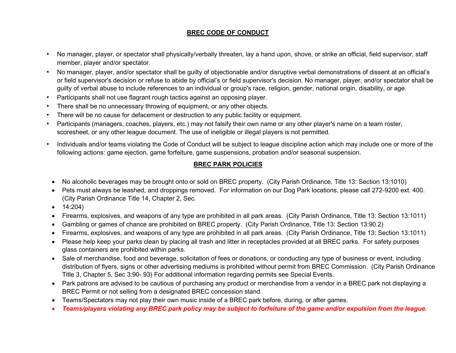#### **BREC CODE OF CONDUCT**

- No manager, player, or spectator shall physically/verbally threaten, lay a hand upon, shove, or strike an official, field supervisor, staff member, player and/or spectator.
- No manager, player, and/or spectator shall be guilty of objectionable and/or disruptive verbal demonstrations of dissent at an official's or field supervisor's decision or refuse to abide by official's or field supervisor's decision. No manager, player, and/or spectator shall be guilty of verbal abuse to include references to an individual or group's race, religion, gender, national origin, disability, or age.
- Participants shall not use flagrant rough tactics against an opposing player.
- There shall be no unnecessary throwing of equipment, or any other objects.
- There will be no cause for defacement or destruction to any public facility or equipment.
- Participants (managers, coaches, players, etc.) may not falsify their own name or any other player's name on a team roster, scoresheet, or any other league document. The use of ineligible or illegal players is not permitted.
- Individuals and/or teams violating the Code of Conduct will be subject to league discipline action which may include one or more of the following actions: game ejection, game forfeiture, game suspensions, probation and/or seasonal suspension.

#### **BREC PARK POLICIES**

- No alcoholic beverages may be brought onto or sold on BREC property. (City Parish Ordinance, Title 13: Section 13:1010)
- Pets must always be leashed, and droppings removed. For information on our Dog Park locations, please call 272-9200 ext. 400. (City Parish Ordinance Title 14, Chapter 2, Sec.
- $\bullet$  14:204)
- Firearms, explosives, and weapons of any type are prohibited in all park areas. (City Parish Ordinance, Title 13: Section 13:1011)
- Gambling or games of chance are prohibited on BREC property. (City Parish Ordinance, Title 13: Section 13:90.2)
- Firearms, explosives, and weapons of any type are prohibited in all park areas. (City Parish Ordinance, Title 13: Section 13:1011)
- Please help keep your parks clean by placing all trash and litter in receptacles provided at all BREC parks. For safety purposes glass containers are prohibited within parks.
- Sale of merchandise, food and beverage, solicitation of fees or donations, or conducting any type of business or event, including distribution of flyers, signs or other advertising mediums is prohibited without permit from BREC Commission. (City Parish Ordinance Title 3, Chapter 5, Sec 3:90- 93) For additional information regarding permits see Special Events.
- Park patrons are advised to be cautious of purchasing any product or merchandise from a vendor in a BREC park not displaying a BREC Permit or not selling from a designated BREC concession stand.
- Teams/Spectators may not play their own music inside of a BREC park before, during, or after games.
- *Teams/players violating any BREC park policy may be subject to forfeiture of the game and/or expulsion from the league.*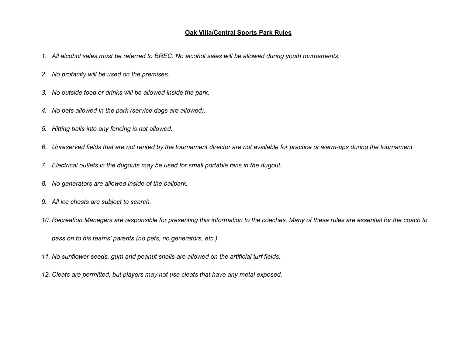#### **Oak Villa/Central Sports Park Rules**

- *1. All alcohol sales must be referred to BREC. No alcohol sales will be allowed during youth tournaments.*
- *2. No profanity will be used on the premises.*
- *3. No outside food or drinks will be allowed inside the park.*
- *4. No pets allowed in the park (service dogs are allowed).*
- *5. Hitting balls into any fencing is not allowed.*
- *6. Unreserved fields that are not rented by the tournament director are not available for practice or warm-ups during the tournament.*
- *7. Electrical outlets in the dugouts may be used for small portable fans in the dugout.*
- *8. No generators are allowed inside of the ballpark.*
- *9. All ice chests are subject to search.*
- *10. Recreation Managers are responsible for presenting this information to the coaches. Many of these rules are essential for the coach to*

*pass on to his teams' parents (no pets, no generators, etc.).*

- *11. No sunflower seeds, gum and peanut shells are allowed on the artificial turf fields.*
- *12. Cleats are permitted, but players may not use cleats that have any metal exposed.*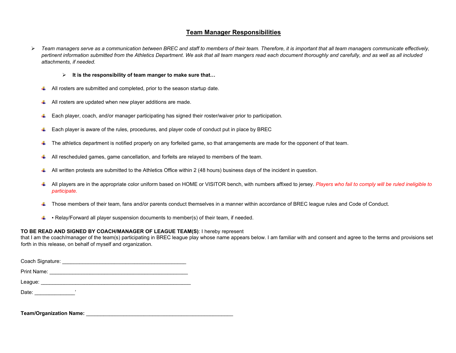#### **Team Manager Responsibilities**

- *Team managers serve as a communication between BREC and staff to members of their team. Therefore, it is important that all team managers communicate effectively, pertinent information submitted from the Athletics Department. We ask that all team mangers read each document thoroughly and carefully, and as well as all included attachments, if needed.* 
	- **It is the responsibility of team manger to make sure that…**
	- $\downarrow$  All rosters are submitted and completed, prior to the season startup date.
	- All rosters are updated when new player additions are made. ۰.
	- Each player, coach, and/or manager participating has signed their roster/waiver prior to participation.
	- Each player is aware of the rules, procedures, and player code of conduct put in place by BREC
	- The athletics department is notified properly on any forfeited game, so that arrangements are made for the opponent of that team. ۰.
	- All rescheduled games, game cancellation, and forfeits are relayed to members of the team. ۰.
	- All written protests are submitted to the Athletics Office within 2 (48 hours) business days of the incident in question.
	- All players are in the appropriate color uniform based on HOME or VISITOR bench, with numbers affixed to jersey. *Players who fail to comply will be ruled ineligible to participate.*
	- Those members of their team, fans and/or parents conduct themselves in a manner within accordance of BREC league rules and Code of Conduct. ш.
	- Relay/Forward all player suspension documents to member(s) of their team, if needed. ÷.

#### **TO BE READ AND SIGNED BY COACH/MANAGER OF LEAGUE TEAM(S)**: I hereby represent

that I am the coach/manager of the team(s) participating in BREC league play whose name appears below. I am familiar with and consent and agree to the terms and provisions set forth in this release, on behalf of myself and organization.

| Coach Signature: |  |  |  |  |  |  |
|------------------|--|--|--|--|--|--|
| Print Name:      |  |  |  |  |  |  |
| League:          |  |  |  |  |  |  |
| Date:            |  |  |  |  |  |  |

**Team/Organization Name:**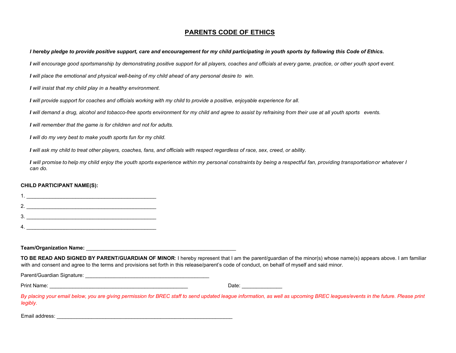#### **PARENTS CODE OF ETHICS**

*I hereby pledge to provide positive support, care and encouragement for my child participating in youth sports by following this Code of Ethics.*

*I will encourage good sportsmanship by demonstrating positive support for all players, coaches and officials at every game, practice, or other youth sport event.*

*I will place the emotional and physical well-being of my child ahead of any personal desire to win.*

*I will insist that my child play in a healthy environment.*

*I will provide support for coaches and officials working with my child to provide a positive, enjoyable experience for all.*

*I will demand a drug, alcohol and tobacco-free sports environment for my child and agree to assist by refraining from their use at all youth sports events.*

*I will remember that the game is for children and not for adults.* 

*I will do my very best to make youth sports fun for my child.*

*I will ask my child to treat other players, coaches, fans, and officials with respect regardless of race, sex, creed, or ability.*

*I will promise to help my child enjoy the youth sports experience within my personal constraints by being a respectful fan, providing transportation or whatever I can do.*

#### **CHILD PARTICIPANT NAME(S):**

| 2. |  |
|----|--|
| 3  |  |
|    |  |

**Team/Organization Name:** \_\_\_\_\_\_\_\_\_\_\_\_\_\_\_\_\_\_\_\_\_\_\_\_\_\_\_\_\_\_\_\_\_\_\_\_\_\_\_\_\_\_\_\_\_\_\_\_\_\_\_\_

**TO BE READ AND SIGNED BY PARENT/GUARDIAN OF MINOR**: I hereby represent that I am the parent/guardian of the minor(s) whose name(s) appears above. I am familiar with and consent and agree to the terms and provisions set forth in this release/parent's code of conduct, on behalf of myself and said minor.

Parent/Guardian Signature: \_\_\_\_\_\_\_\_\_\_\_\_\_\_\_\_\_\_\_\_\_\_\_\_\_\_\_\_\_\_\_\_\_\_\_\_\_\_\_\_\_\_\_

Print Name: \_\_\_\_\_\_\_\_\_\_\_\_\_\_\_\_\_\_\_\_\_\_\_\_\_\_\_\_\_\_\_\_\_\_\_\_\_\_\_\_\_\_\_\_\_\_\_\_ Date: \_\_\_\_\_\_\_\_\_\_\_\_\_\_

By placing your email below, you are giving permission for BREC staff to send updated league information, as well as upcoming BREC leagues/events in the future. Please print *legibly.* 

Email address: \_\_\_\_\_\_\_\_\_\_\_\_\_\_\_\_\_\_\_\_\_\_\_\_\_\_\_\_\_\_\_\_\_\_\_\_\_\_\_\_\_\_\_\_\_\_\_\_\_\_\_\_\_\_\_\_\_\_\_\_\_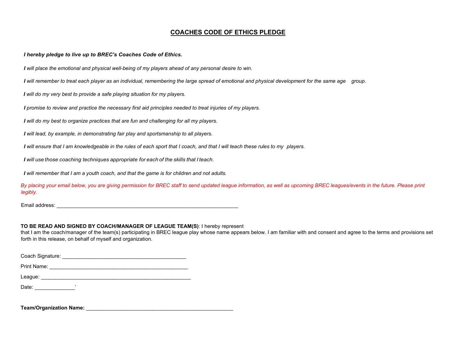#### **COACHES CODE OF ETHICS PLEDGE**

 *I hereby pledge to live up to BREC's Coaches Code of Ethics.*

*I will place the emotional and physical well-being of my players ahead of any personal desire to win.*

*I will remember to treat each player as an individual, remembering the large spread of emotional and physical development for the same age group.*

*I will do my very best to provide a safe playing situation for my players.*

*I promise to review and practice the necessary first aid principles needed to treat injuries of my players.*

*I will do my best to organize practices that are fun and challenging for all my players.*

*I will lead, by example, in demonstrating fair play and sportsmanship to all players.*

*I will ensure that I am knowledgeable in the rules of each sport that I coach, and that I will teach these rules to my players.*

*I will use those coaching techniques appropriate for each of the skills that I teach.*

*I will remember that I am a youth coach, and that the game is for children and not adults.* 

*By placing your email below, you are giving permission for BREC staff to send updated league information, as well as upcoming BREC leagues/events in the future. Please print legibly.* 

Email address: \_\_\_\_\_\_\_\_\_\_\_\_\_\_\_\_\_\_\_\_\_\_\_\_\_\_\_\_\_\_\_\_\_\_\_\_\_\_\_\_\_\_\_\_\_\_\_\_\_\_\_\_\_\_\_\_\_\_\_\_\_\_\_

#### **TO BE READ AND SIGNED BY COACH/MANAGER OF LEAGUE TEAM(S)**: I hereby represent

that I am the coach/manager of the team(s) participating in BREC league play whose name appears below. I am familiar with and consent and agree to the terms and provisions set forth in this release, on behalf of myself and organization.

| Coach Signature: |  |  |  |
|------------------|--|--|--|
| Print Name:      |  |  |  |
| League:          |  |  |  |
| Date:            |  |  |  |

**Team/Organization Name:** \_\_\_\_\_\_\_\_\_\_\_\_\_\_\_\_\_\_\_\_\_\_\_\_\_\_\_\_\_\_\_\_\_\_\_\_\_\_\_\_\_\_\_\_\_\_\_\_\_\_\_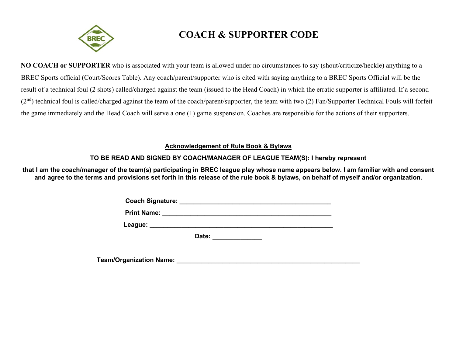

# **COACH & SUPPORTER CODE**

**NO COACH or SUPPORTER** who is associated with your team is allowed under no circumstances to say (shout/criticize/heckle) anything to a BREC Sports official (Court/Scores Table). Any coach/parent/supporter who is cited with saying anything to a BREC Sports Official will be the result of a technical foul (2 shots) called/charged against the team (issued to the Head Coach) in which the erratic supporter is affiliated. If a second  $(2<sup>nd</sup>)$  technical foul is called/charged against the team of the coach/parent/supporter, the team with two  $(2)$  Fan/Supporter Technical Fouls will forfeit the game immediately and the Head Coach will serve a one (1) game suspension. Coaches are responsible for the actions of their supporters.

#### **Acknowledgement of Rule Book & Bylaws**

#### **TO BE READ AND SIGNED BY COACH/MANAGER OF LEAGUE TEAM(S): I hereby represent**

**that I am the coach/manager of the team(s) participating in BREC league play whose name appears below. I am familiar with and consent and agree to the terms and provisions set forth in this release of the rule book & bylaws, on behalf of myself and/or organization.**

| <b>Coach Signature:</b> |
|-------------------------|
|-------------------------|

**Print Name: \_\_\_\_\_\_\_\_\_\_\_\_\_\_\_\_\_\_\_\_\_\_\_\_\_\_\_\_\_\_\_\_\_\_\_\_\_\_\_\_\_\_\_\_\_\_\_\_**

**League: \_\_\_\_\_\_\_\_\_\_\_\_\_\_\_\_\_\_\_\_\_\_\_\_\_\_\_\_\_\_\_\_\_\_\_\_\_\_\_\_\_\_\_\_\_\_\_\_\_\_\_\_**

Date: **We are all the set of the set of the set of the set of the set of the set of the set of the set of the set of the set of the set of the set of the set of the set of the set of the set of the set of the set of the se** 

**Team/Organization Name: \_\_\_\_\_\_\_\_\_\_\_\_\_\_\_\_\_\_\_\_\_\_\_\_\_\_\_\_\_\_\_\_\_\_\_\_\_\_\_\_\_\_\_\_\_\_\_\_\_\_\_\_**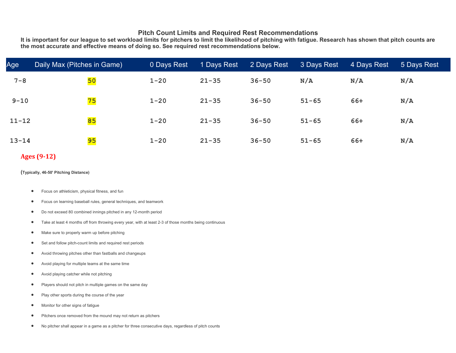#### **Pitch Count Limits and Required Rest Recommendations**

**It is important for our league to set workload limits for pitchers to limit the likelihood of pitching with fatigue. Research has shown that pitch counts are the most accurate and effective means of doing so. See required rest recommendations below.**

| Age       | Daily Max (Pitches in Game) | 0 Days Rest | 1 Days Rest | 2 Days Rest | 3 Days Rest | 4 Days Rest | 5 Days Rest |
|-----------|-----------------------------|-------------|-------------|-------------|-------------|-------------|-------------|
| $7 - 8$   | 50                          | $1 - 20$    | $21 - 35$   | $36 - 50$   | N/A         | N/A         | N/A         |
| $9 - 10$  | 75                          | $1 - 20$    | $21 - 35$   | $36 - 50$   | $51 - 65$   | 66+         | N/A         |
| $11 - 12$ | 85                          | $1 - 20$    | $21 - 35$   | $36 - 50$   | $51 - 65$   | 66+         | N/A         |
| $13 - 14$ | 95                          | $1 - 20$    | $21 - 35$   | $36 - 50$   | $51 - 65$   | 66+         | N/A         |

#### **Ages (9-12)**

**(Typically, 46-50' Pitching Distance)**

- Focus on athleticism, physical fitness, and fun
- Focus on learning baseball rules, general techniques, and teamwork
- Do not exceed 80 combined innings pitched in any 12-month period
- Take at least 4 months off from throwing every year, with at least 2-3 of those months being continuous
- Make sure to properly warm up before pitching
- Set and follow pitch-count limits and required rest periods
- Avoid throwing pitches other than fastballs and changeups
- Avoid playing for multiple teams at the same time
- Avoid playing catcher while not pitching
- Players should not pitch in multiple games on the same day
- Play other sports during the course of the year
- Monitor for other signs of fatigue
- Pitchers once removed from the mound may not return as pitchers
- No pitcher shall appear in a game as a pitcher for three consecutive days, regardless of pitch counts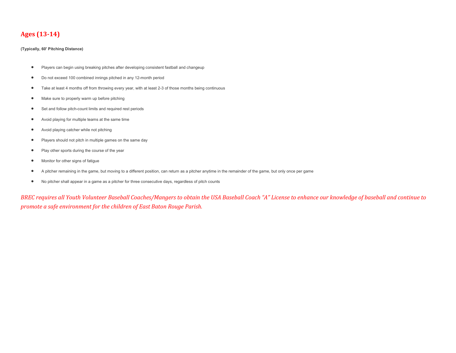#### **Ages (13-14)**

#### **(Typically, 60' Pitching Distance)**

- Players can begin using breaking pitches after developing consistent fastball and changeup
- Do not exceed 100 combined innings pitched in any 12-month period
- Take at least 4 months off from throwing every year, with at least 2-3 of those months being continuous
- Make sure to properly warm up before pitching
- Set and follow pitch-count limits and required rest periods
- Avoid playing for multiple teams at the same time
- Avoid playing catcher while not pitching
- Players should not pitch in multiple games on the same day
- Play other sports during the course of the year
- Monitor for other signs of fatigue
- A pitcher remaining in the game, but moving to a different position, can return as a pitcher anytime in the remainder of the game, but only once per game
- No pitcher shall appear in a game as a pitcher for three consecutive days, regardless of pitch counts

*BREC requires all Youth Volunteer Baseball Coaches/Mangers to obtain the USA Baseball Coach "A" License to enhance our knowledge of baseball and continue to promote a safe environment for the children of East Baton Rouge Parish.*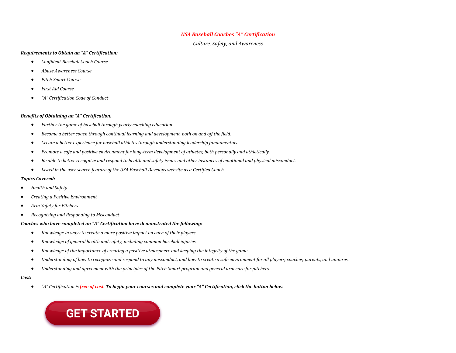#### *USA Baseball Coaches "A" Certification*

*Culture, Safety, and Awareness*

#### *Requirements to Obtain an "A" Certification:*

- *Confident Baseball Coach Course*
- *Abuse Awareness Course*
- *Pitch Smart Course*
- *First Aid Course*
- *"A" Certification Code of Conduct*

#### *Benefits of Obtaining an "A" Certification:*

- *Further the game of baseball through yearly coaching education.*
- *Become a better coach through continual learning and development, both on and off the field.*
- *Create a better experience for baseball athletes through understanding leadership fundamentals.*
- *Promote a safe and positive environment for long-term development of athletes, both personally and athletically.*
- *Be able to better recognize and respond to health and safety issues and other instances of emotional and physical misconduct.*
- *Listed in the user search feature of the USA Baseball Develops website as a Certified Coach.*

#### *Topics Covered:*

- *Health and Safety*
- *Creating a Positive Environment*
- *Arm Safety for Pitchers*
- *Recognizing and Responding to Misconduct*

#### *Coaches who have completed an "A" Certification have demonstrated the following:*

- *Knowledge in ways to create a more positive impact on each of their players.*
- *Knowledge of general health and safety, including common baseball injuries.*
- *Knowledge of the importance of creating a positive atmosphere and keeping the integrity of the game.*
- *Understanding of how to recognize and respond to any misconduct, and how to create a safe environment for all players, coaches, parents, and umpires.*
- *Understanding and agreement with the principles of the Pitch Smart program and general arm care for pitchers.*

#### *Cost:*

• *"A" Certification is free of cost. To begin your courses and complete your "A" Certification, click the button below.*

# **GET STARTED**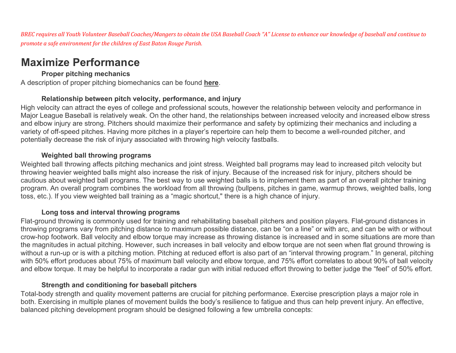*BREC requires all Youth Volunteer Baseball Coaches/Mangers to obtain the USA Baseball Coach "A" License to enhance our knowledge of baseball and continue to promote a safe environment for the children of East Baton Rouge Parish.* 

# **Maximize Performance**

## **Proper pitching mechanics**

A description of proper pitching biomechanics can be found **[here](https://www.usabdevelops.com/USAB/Blog/Advanced_Biomechanics_Pitching.aspx)**.

## **Relationship between pitch velocity, performance, and injury**

High velocity can attract the eyes of college and professional scouts, however the relationship between velocity and performance in Major League Baseball is relatively weak. On the other hand, the relationships between increased velocity and increased elbow stress and elbow injury are strong. Pitchers should maximize their performance and safety by optimizing their mechanics and including a variety of off-speed pitches. Having more pitches in a player's repertoire can help them to become a well-rounded pitcher, and potentially decrease the risk of injury associated with throwing high velocity fastballs.

## **Weighted ball throwing programs**

Weighted ball throwing affects pitching mechanics and joint stress. Weighted ball programs may lead to increased pitch velocity but throwing heavier weighted balls might also increase the risk of injury. Because of the increased risk for injury, pitchers should be cautious about weighted ball programs. The best way to use weighted balls is to implement them as part of an overall pitcher training program. An overall program combines the workload from all throwing (bullpens, pitches in game, warmup throws, weighted balls, long toss, etc.). If you view weighted ball training as a "magic shortcut," there is a high chance of injury.

#### **Long toss and interval throwing programs**

Flat-ground throwing is commonly used for training and rehabilitating baseball pitchers and position players. Flat-ground distances in throwing programs vary from pitching distance to maximum possible distance, can be "on a line" or with arc, and can be with or without crow-hop footwork. Ball velocity and elbow torque may increase as throwing distance is increased and in some situations are more than the magnitudes in actual pitching. However, such increases in ball velocity and elbow torque are not seen when flat ground throwing is without a run-up or is with a pitching motion. Pitching at reduced effort is also part of an "interval throwing program." In general, pitching with 50% effort produces about 75% of maximum ball velocity and elbow torque, and 75% effort correlates to about 90% of ball velocity and elbow torque. It may be helpful to incorporate a radar gun with initial reduced effort throwing to better judge the "feel" of 50% effort.

## **Strength and conditioning for baseball pitchers**

Total-body strength and quality movement patterns are crucial for pitching performance. Exercise prescription plays a major role in both. Exercising in multiple planes of movement builds the body's resilience to fatigue and thus can help prevent injury. An effective, balanced pitching development program should be designed following a few umbrella concepts: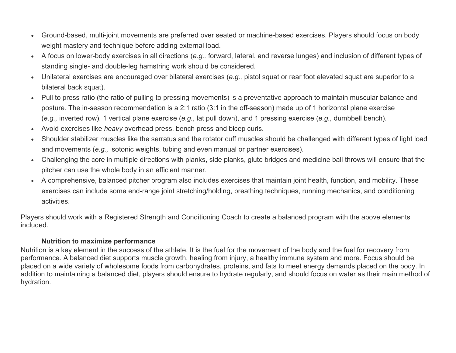- Ground-based, multi-joint movements are preferred over seated or machine-based exercises. Players should focus on body weight mastery and technique before adding external load.
- A focus on lower-body exercises in all directions (*e.g.,* forward, lateral, and reverse lunges) and inclusion of different types of standing single- and double-leg hamstring work should be considered.
- Unilateral exercises are encouraged over bilateral exercises (*e.g.,* pistol squat or rear foot elevated squat are superior to a bilateral back squat).
- Pull to press ratio (the ratio of pulling to pressing movements) is a preventative approach to maintain muscular balance and posture. The in-season recommendation is a 2:1 ratio (3:1 in the off-season) made up of 1 horizontal plane exercise (*e.g.,* inverted row), 1 vertical plane exercise (*e.g.,* lat pull down), and 1 pressing exercise (*e.g.,* dumbbell bench).
- Avoid exercises like *heavy* overhead press, bench press and bicep curls.
- Shoulder stabilizer muscles like the serratus and the rotator cuff muscles should be challenged with different types of light load and movements (*e.g.,* isotonic weights, tubing and even manual or partner exercises).
- Challenging the core in multiple directions with planks, side planks, glute bridges and medicine ball throws will ensure that the pitcher can use the whole body in an efficient manner.
- A comprehensive, balanced pitcher program also includes exercises that maintain joint health, function, and mobility. These exercises can include some end-range joint stretching/holding, breathing techniques, running mechanics, and conditioning activities.

Players should work with a Registered Strength and Conditioning Coach to create a balanced program with the above elements included.

#### **Nutrition to maximize performance**

Nutrition is a key element in the success of the athlete. It is the fuel for the movement of the body and the fuel for recovery from performance. A balanced diet supports muscle growth, healing from injury, a healthy immune system and more. Focus should be placed on a wide variety of wholesome foods from carbohydrates, proteins, and fats to meet energy demands placed on the body. In addition to maintaining a balanced diet, players should ensure to hydrate regularly, and should focus on water as their main method of hydration.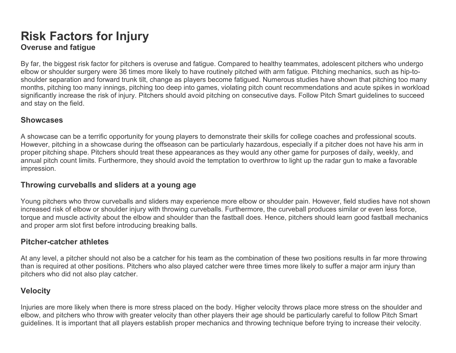# **Risk Factors for Injury Overuse and fatigue**

By far, the biggest risk factor for pitchers is overuse and fatigue. Compared to healthy teammates, adolescent pitchers who undergo elbow or shoulder surgery were 36 times more likely to have routinely pitched with arm fatigue. Pitching mechanics, such as hip-toshoulder separation and forward trunk tilt, change as players become fatigued. Numerous studies have shown that pitching too many months, pitching too many innings, pitching too deep into games, violating pitch count recommendations and acute spikes in workload significantly increase the risk of injury. Pitchers should avoid pitching on consecutive days. Follow Pitch Smart guidelines to succeed and stay on the field.

#### **Showcases**

A showcase can be a terrific opportunity for young players to demonstrate their skills for college coaches and professional scouts. However, pitching in a showcase during the offseason can be particularly hazardous, especially if a pitcher does not have his arm in proper pitching shape. Pitchers should treat these appearances as they would any other game for purposes of daily, weekly, and annual pitch count limits. Furthermore, they should avoid the temptation to overthrow to light up the radar gun to make a favorable impression.

## **Throwing curveballs and sliders at a young age**

Young pitchers who throw curveballs and sliders may experience more elbow or shoulder pain. However, field studies have not shown increased risk of elbow or shoulder injury with throwing curveballs. Furthermore, the curveball produces similar or even less force, torque and muscle activity about the elbow and shoulder than the fastball does. Hence, pitchers should learn good fastball mechanics and proper arm slot first before introducing breaking balls.

## **Pitcher-catcher athletes**

At any level, a pitcher should not also be a catcher for his team as the combination of these two positions results in far more throwing than is required at other positions. Pitchers who also played catcher were three times more likely to suffer a major arm injury than pitchers who did not also play catcher.

# **Velocity**

Injuries are more likely when there is more stress placed on the body. Higher velocity throws place more stress on the shoulder and elbow, and pitchers who throw with greater velocity than other players their age should be particularly careful to follow Pitch Smart guidelines. It is important that all players establish proper mechanics and throwing technique before trying to increase their velocity.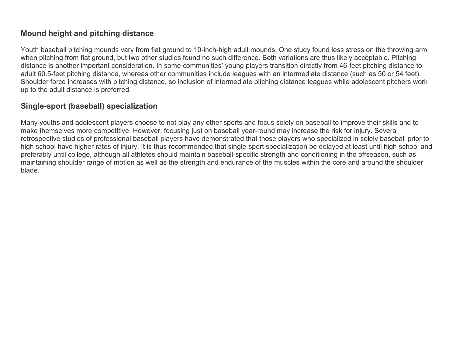# **Mound height and pitching distance**

Youth baseball pitching mounds vary from flat ground to 10-inch-high adult mounds. One study found less stress on the throwing arm when pitching from flat ground, but two other studies found no such difference. Both variations are thus likely acceptable. Pitching distance is another important consideration. In some communities' young players transition directly from 46-feet pitching distance to adult 60.5-feet pitching distance, whereas other communities include leagues with an intermediate distance (such as 50 or 54 feet). Shoulder force increases with pitching distance, so inclusion of intermediate pitching distance leagues while adolescent pitchers work up to the adult distance is preferred.

# **Single-sport (baseball) specialization**

Many youths and adolescent players choose to not play any other sports and focus solely on baseball to improve their skills and to make themselves more competitive. However, focusing just on baseball year-round may increase the risk for injury. Several retrospective studies of professional baseball players have demonstrated that those players who specialized in solely baseball prior to high school have higher rates of injury. It is thus recommended that single-sport specialization be delayed at least until high school and preferably until college, although all athletes should maintain baseball-specific strength and conditioning in the offseason, such as maintaining shoulder range of motion as well as the strength and endurance of the muscles within the core and around the shoulder blade.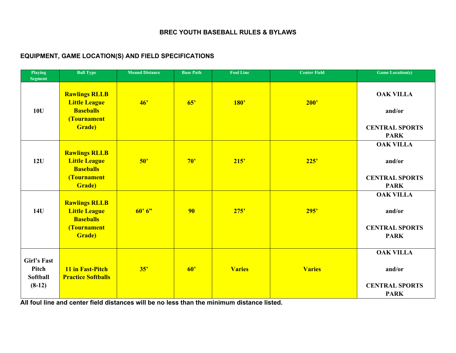#### **BREC YOUTH BASEBALL RULES & BYLAWS**

#### **EQUIPMENT, GAME LOCATION(S) AND FIELD SPECIFICATIONS**

| <b>Playing</b><br><b>Segment</b>                           | <b>Ball Type</b>                                                                                  | <b>Mound Distance</b> | <b>Base Path</b> | <b>Foul Line</b> | <b>Center Field</b> | <b>Game Location(s)</b>                                            |
|------------------------------------------------------------|---------------------------------------------------------------------------------------------------|-----------------------|------------------|------------------|---------------------|--------------------------------------------------------------------|
| 10U                                                        | <b>Rawlings RLLB</b><br><b>Little League</b><br><b>Baseballs</b><br>(Tournament<br><b>Grade</b> ) | 46'                   | 65'              | <b>180'</b>      | 200'                | <b>OAK VILLA</b><br>and/or<br><b>CENTRAL SPORTS</b><br><b>PARK</b> |
| 12U                                                        | <b>Rawlings RLLB</b><br><b>Little League</b><br><b>Baseballs</b><br>(Tournament<br><b>Grade</b> ) | 50'                   | 70'              | 215'             | 225'                | <b>OAK VILLA</b><br>and/or<br><b>CENTRAL SPORTS</b><br><b>PARK</b> |
| 14U                                                        | <b>Rawlings RLLB</b><br><b>Little League</b><br><b>Baseballs</b><br>(Tournament<br><b>Grade</b> ) | 60'6"                 | 90               | 275'             | 295'                | <b>OAK VILLA</b><br>and/or<br><b>CENTRAL SPORTS</b><br><b>PARK</b> |
| <b>Girl's Fast</b><br>Pitch<br><b>Softball</b><br>$(8-12)$ | 11 in Fast-Pitch<br><b>Practice Softballs</b>                                                     | 35'                   | 60'              | <b>Varies</b>    | <b>Varies</b>       | <b>OAK VILLA</b><br>and/or<br><b>CENTRAL SPORTS</b><br><b>PARK</b> |

**All foul line and center field distances will be no less than the minimum distance listed.**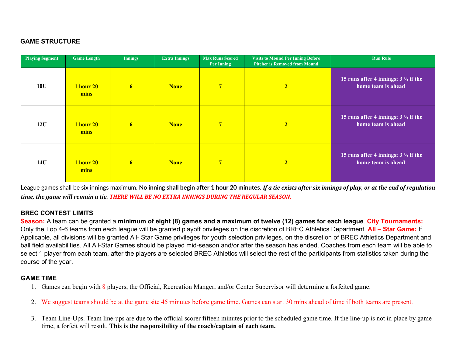#### **GAME STRUCTURE**

| <b>Playing Segment</b> | <b>Game Length</b>       | <b>Innings</b> | <b>Extra Innings</b> | <b>Max Runs Scored</b><br>Per Inning | <b>Visits to Mound Per Inning Before</b><br><b>Pitcher is Removed from Mound</b> | <b>Run Rule</b>                                                       |
|------------------------|--------------------------|----------------|----------------------|--------------------------------------|----------------------------------------------------------------------------------|-----------------------------------------------------------------------|
| 10U                    | <b>1 hour 20</b><br>mins | 6 <sup>1</sup> | <b>None</b>          | $\overline{7}$                       | $\overline{2}$                                                                   | 15 runs after 4 innings; $3 \frac{1}{2}$ if the<br>home team is ahead |
| 12U                    | <b>1 hour 20</b><br>mins | 6 <sup>1</sup> | <b>None</b>          | $7\overline{ }$                      | $\overline{2}$                                                                   | 15 runs after 4 innings; $3 \frac{1}{2}$ if the<br>home team is ahead |
| <b>14U</b>             | <b>1 hour 20</b><br>mins | 6 <sup>1</sup> | <b>None</b>          | $\overline{7}$                       | 2 <sub>1</sub>                                                                   | 15 runs after 4 innings; $3 \frac{1}{2}$ if the<br>home team is ahead |

League games shall be six innings maximum. No inning shall begin after 1 hour 20 minutes. If a tie exists after six innings of play, or at the end of regulation *time, the game will remain a tie. THERE WILL BE NO EXTRA INNINGS DURING THE REGULAR SEASON.*

#### **BREC CONTEST LIMITS**

**Season:** A team can be granted a **minimum of eight (8) games and a maximum of twelve (12) games for each league**. **City Tournaments:** Only the Top 4-6 teams from each league will be granted playoff privileges on the discretion of BREC Athletics Department. **All – Star Game:** If Applicable, all divisions will be granted All- Star Game privileges for youth selection privileges, on the discretion of BREC Athletics Department and ball field availabilities. All All-Star Games should be played mid-season and/or after the season has ended. Coaches from each team will be able to select 1 player from each team, after the players are selected BREC Athletics will select the rest of the participants from statistics taken during the course of the year.

#### **GAME TIME**

- 1. Games can begin with 8 players, the Official, Recreation Manger, and/or Center Supervisor will determine a forfeited game.
- 2. We suggest teams should be at the game site 45 minutes before game time. Games can start 30 mins ahead of time if both teams are present.
- 3. Team Line-Ups. Team line-ups are due to the official scorer fifteen minutes prior to the scheduled game time. If the line-up is not in place by game time, a forfeit will result. **This is the responsibility of the coach/captain of each team.**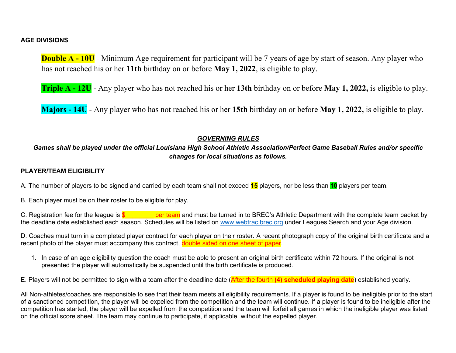#### **AGE DIVISIONS**

**Double A - 10U** - Minimum Age requirement for participant will be 7 years of age by start of season. Any player who has not reached his or her **11th** birthday on or before **May 1, 2022**, is eligible to play.

**Triple A - 12U** - Any player who has not reached his or her **13th** birthday on or before **May 1, 2022,** is eligible to play.

**Majors - 14U** - Any player who has not reached his or her **15th** birthday on or before **May 1, 2022,** is eligible to play.

#### *GOVERNING RULES*

#### *Games shall be played under the official Louisiana High School Athletic Association/Perfect Game Baseball Rules and/or specific changes for local situations as follows.*

#### **PLAYER/TEAM ELIGIBILITY**

A. The number of players to be signed and carried by each team shall not exceed **15** players, nor be less than **10** players per team.

B. Each player must be on their roster to be eligible for play.

C. Registration fee for the league is  $\frac{1}{2}$  per team and must be turned in to BREC's Athletic Department with the complete team packet by the deadline date established each season. Schedules will be listed on [www.webtrac.brec.org](http://www.webtrac.brec.org/) under Leagues Search and your Age division.

D. Coaches must turn in a completed player contract for each player on their roster. A recent photograph copy of the original birth certificate and a recent photo of the player must accompany this contract, **double sided on one sheet of paper**.

1. In case of an age eligibility question the coach must be able to present an original birth certificate within 72 hours. If the original is not presented the player will automatically be suspended until the birth certificate is produced.

E. Players will not be permitted to sign with a team after the deadline date (After the fourth **(4) scheduled playing date**) established yearly.

All Non-athletes/coaches are responsible to see that their team meets all eligibility requirements. If a player is found to be ineligible prior to the start of a sanctioned competition, the player will be expelled from the competition and the team will continue. If a player is found to be ineligible after the competition has started, the player will be expelled from the competition and the team will forfeit all games in which the ineligible player was listed on the official score sheet. The team may continue to participate, if applicable, without the expelled player.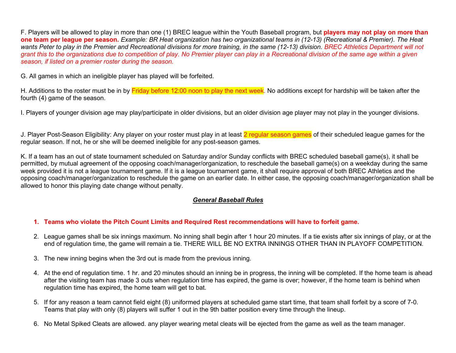F. Players will be allowed to play in more than one (1) BREC league within the Youth Baseball program, but **players may not play on more than one team per league per season.** *Example: BR Heat organization has two organizational teams in (12-13) (Recreational & Premier). The Heat wants Peter to play in the Premier and Recreational divisions for more training, in the same (12-13) division. BREC Athletics Department will not grant this to the organizations due to competition of play. No Premier player can play in a Recreational division of the same age within a given season, if listed on a premier roster during the season.*

G. All games in which an ineligible player has played will be forfeited.

H. Additions to the roster must be in by Friday before 12:00 noon to play the next week. No additions except for hardship will be taken after the fourth (4) game of the season.

I. Players of younger division age may play/participate in older divisions, but an older division age player may not play in the younger divisions.

J. Player Post-Season Eligibility: Any player on your roster must play in at least 2 regular season games of their scheduled league games for the regular season. If not, he or she will be deemed ineligible for any post-season games.

K. If a team has an out of state tournament scheduled on Saturday and/or Sunday conflicts with BREC scheduled baseball game(s), it shall be permitted, by mutual agreement of the opposing coach/manager/organization, to reschedule the baseball game(s) on a weekday during the same week provided it is not a league tournament game. If it is a league tournament game, it shall require approval of both BREC Athletics and the opposing coach/manager/organization to reschedule the game on an earlier date. In either case, the opposing coach/manager/organization shall be allowed to honor this playing date change without penalty.

#### *General Baseball Rules*

#### **1. Teams who violate the Pitch Count Limits and Required Rest recommendations will have to forfeit game.**

- 2. League games shall be six innings maximum. No inning shall begin after 1 hour 20 minutes. If a tie exists after six innings of play, or at the end of regulation time, the game will remain a tie. THERE WILL BE NO EXTRA INNINGS OTHER THAN IN PLAYOFF COMPETITION.
- 3. The new inning begins when the 3rd out is made from the previous inning.
- 4. At the end of regulation time. 1 hr. and 20 minutes should an inning be in progress, the inning will be completed. If the home team is ahead after the visiting team has made 3 outs when regulation time has expired, the game is over; however, if the home team is behind when regulation time has expired, the home team will get to bat.
- 5. If for any reason a team cannot field eight (8) uniformed players at scheduled game start time, that team shall forfeit by a score of 7-0. Teams that play with only (8) players will suffer 1 out in the 9th batter position every time through the lineup.
- 6. No Metal Spiked Cleats are allowed. any player wearing metal cleats will be ejected from the game as well as the team manager.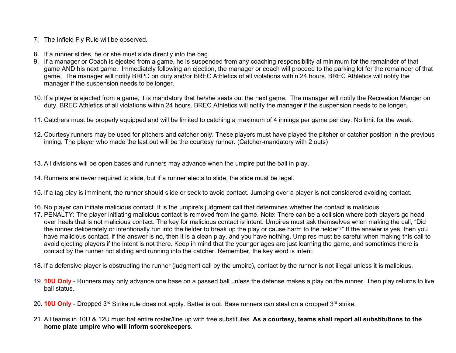- 7. The Infield Fly Rule will be observed.
- 8. If a runner slides, he or she must slide directly into the bag.
- 9. If a manager or Coach is ejected from a game, he is suspended from any coaching responsibility at minimum for the remainder of that game AND his next game. Immediately following an ejection, the manager or coach will proceed to the parking lot for the remainder of that game. The manager will notify BRPD on duty and/or BREC Athletics of all violations within 24 hours. BREC Athletics will notify the manager if the suspension needs to be longer.
- 10. If a player is ejected from a game, it is mandatory that he/she seats out the next game. The manager will notify the Recreation Manger on duty, BREC Athletics of all violations within 24 hours. BREC Athletics will notify the manager if the suspension needs to be longer.
- 11. Catchers must be properly equipped and will be limited to catching a maximum of 4 innings per game per day. No limit for the week.
- 12. Courtesy runners may be used for pitchers and catcher only. These players must have played the pitcher or catcher position in the previous inning. The player who made the last out will be the courtesy runner. (Catcher-mandatory with 2 outs)
- 13. All divisions will be open bases and runners may advance when the umpire put the ball in play.
- 14. Runners are never required to slide, but if a runner elects to slide, the slide must be legal.
- 15. If a tag play is imminent, the runner should slide or seek to avoid contact. Jumping over a player is not considered avoiding contact.
- 16. No player can initiate malicious contact. It is the umpire's judgment call that determines whether the contact is malicious.
- 17. PENALTY: The player initiating malicious contact is removed from the game. Note: There can be a collision where both players go head over heels that is not malicious contact. The key for malicious contact is intent. Umpires must ask themselves when making the call, "Did the runner deliberately or intentionally run into the fielder to break up the play or cause harm to the fielder?" If the answer is yes, then you have malicious contact, if the answer is no, then it is a clean play, and you have nothing. Umpires must be careful when making this call to avoid ejecting players if the intent is not there. Keep in mind that the younger ages are just learning the game, and sometimes there is contact by the runner not sliding and running into the catcher. Remember, the key word is intent.
- 18. If a defensive player is obstructing the runner (judgment call by the umpire), contact by the runner is not illegal unless it is malicious.
- 19. **10U Only** Runners may only advance one base on a passed ball unless the defense makes a play on the runner. Then play returns to live ball status.
- 20. **10U Only** Dropped 3rd Strike rule does not apply. Batter is out. Base runners can steal on a dropped 3rd strike.
- 21. All teams in 10U & 12U must bat entire roster/line up with free substitutes. **As a courtesy, teams shall report all substitutions to the home plate umpire who will inform scorekeepers**.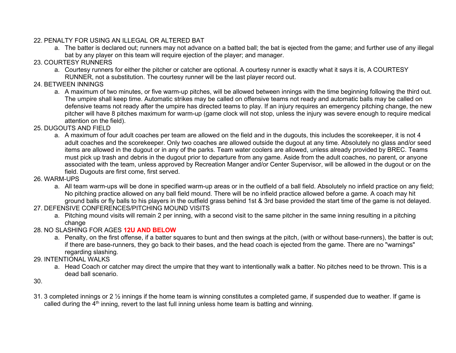#### 22. PENALTY FOR USING AN ILLEGAL OR ALTERED BAT

- a. The batter is declared out; runners may not advance on a batted ball; the bat is ejected from the game; and further use of any illegal bat by any player on this team will require ejection of the player; and manager.
- 23. COURTESY RUNNERS
	- a. Courtesy runners for either the pitcher or catcher are optional. A courtesy runner is exactly what it says it is, A COURTESY RUNNER, not a substitution. The courtesy runner will be the last player record out.
- 24. BETWEEN INNINGS
	- a. A maximum of two minutes, or five warm-up pitches, will be allowed between innings with the time beginning following the third out. The umpire shall keep time. Automatic strikes may be called on offensive teams not ready and automatic balls may be called on defensive teams not ready after the umpire has directed teams to play. If an injury requires an emergency pitching change, the new pitcher will have 8 pitches maximum for warm-up (game clock will not stop, unless the injury was severe enough to require medical attention on the field).
- 25. DUGOUTS AND FIELD
	- a. A maximum of four adult coaches per team are allowed on the field and in the dugouts, this includes the scorekeeper, it is not 4 adult coaches and the scorekeeper. Only two coaches are allowed outside the dugout at any time. Absolutely no glass and/or seed items are allowed in the dugout or in any of the parks. Team water coolers are allowed, unless already provided by BREC. Teams must pick up trash and debris in the dugout prior to departure from any game. Aside from the adult coaches, no parent, or anyone associated with the team, unless approved by Recreation Manger and/or Center Supervisor, will be allowed in the dugout or on the field. Dugouts are first come, first served.
- 26. WARM-UPS
	- a. All team warm-ups will be done in specified warm-up areas or in the outfield of a ball field. Absolutely no infield practice on any field; No pitching practice allowed on any ball field mound. There will be no infield practice allowed before a game. A coach may hit ground balls or fly balls to his players in the outfield grass behind 1st & 3rd base provided the start time of the game is not delayed.
- 27. DEFENSIVE CONFERENCES/PITCHING MOUND VISITS
	- a. Pitching mound visits will remain 2 per inning, with a second visit to the same pitcher in the same inning resulting in a pitching change
- 28. NO SLASHING FOR AGES **12U AND BELOW**
	- a. Penalty, on the first offense, if a batter squares to bunt and then swings at the pitch, (with or without base-runners), the batter is out; if there are base-runners, they go back to their bases, and the head coach is ejected from the game. There are no "warnings" regarding slashing.
- 29. INTENTIONAL WALKS
	- a. Head Coach or catcher may direct the umpire that they want to intentionally walk a batter. No pitches need to be thrown. This is a dead ball scenario.
- 30.
- 31. 3 completed innings or 2  $\frac{1}{2}$  innings if the home team is winning constitutes a completed game, if suspended due to weather. If game is called during the  $4<sup>th</sup>$  inning, revert to the last full inning unless home team is batting and winning.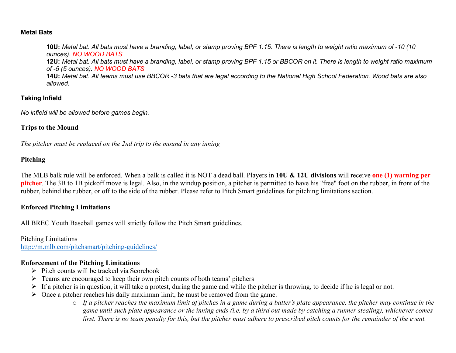#### **Metal Bats**

**10U:** *Metal bat. All bats must have a branding, label, or stamp proving BPF 1.15. There is length to weight ratio maximum of -10 (10 ounces). NO WOOD BATS* **12U:** *Metal bat. All bats must have a branding, label, or stamp proving BPF 1.15 or BBCOR on it. There is length to weight ratio maximum of -5 (5 ounces). NO WOOD BATS* **14U:** *Metal bat. All teams must use BBCOR -3 bats that are legal according to the National High School Federation. Wood bats are also allowed.*

#### **Taking Infield**

*No infield will be allowed before games begin.* 

#### **Trips to the Mound**

*The pitcher must be replaced on the 2nd trip to the mound in any inning* 

#### **Pitching**

The MLB balk rule will be enforced. When a balk is called it is NOT a dead ball. Players in **10U & 12U divisions** will receive **one (1) warning per pitcher**. The 3B to 1B pickoff move is legal. Also, in the windup position, a pitcher is permitted to have his "free" foot on the rubber, in front of the rubber, behind the rubber, or off to the side of the rubber. Please refer to Pitch Smart guidelines for pitching limitations section.

#### **Enforced Pitching Limitations**

All BREC Youth Baseball games will strictly follow the Pitch Smart guidelines.

Pitching Limitations <http://m.mlb.com/pitchsmart/pitching-guidelines/>

#### **Enforcement of the Pitching Limitations**

- $\triangleright$  Pitch counts will be tracked via Scorebook
- $\triangleright$  Teams are encouraged to keep their own pitch counts of both teams' pitchers
- $\triangleright$  If a pitcher is in question, it will take a protest, during the game and while the pitcher is throwing, to decide if he is legal or not.
- $\triangleright$  Once a pitcher reaches his daily maximum limit, he must be removed from the game.
	- o *If a pitcher reaches the maximum limit of pitches in a game during a batter's plate appearance, the pitcher may continue in the game until such plate appearance or the inning ends (i.e. by a third out made by catching a runner stealing), whichever comes first. There is no team penalty for this, but the pitcher must adhere to prescribed pitch counts for the remainder of the event.*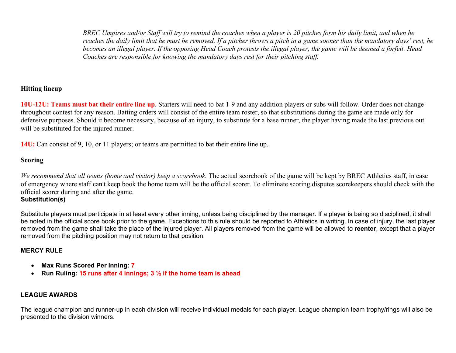*BREC Umpires and/or Staff will try to remind the coaches when a player is 20 pitches form his daily limit, and when he reaches the daily limit that he must be removed. If a pitcher throws a pitch in a game sooner than the mandatory days' rest, he becomes an illegal player. If the opposing Head Coach protests the illegal player, the game will be deemed a forfeit. Head Coaches are responsible for knowing the mandatory days rest for their pitching staff.*

#### **Hitting lineup**

**10U-12U: Teams must bat their entire line up**. Starters will need to bat 1-9 and any addition players or subs will follow. Order does not change throughout contest for any reason. Batting orders will consist of the entire team roster, so that substitutions during the game are made only for defensive purposes. Should it become necessary, because of an injury, to substitute for a base runner, the player having made the last previous out will be substituted for the injured runner.

**14U:** Can consist of 9, 10, or 11 players; or teams are permitted to bat their entire line up.

#### **Scoring**

*We recommend that all teams (home and visitor) keep a scorebook.* The actual scorebook of the game will be kept by BREC Athletics staff, in case of emergency where staff can't keep book the home team will be the official scorer. To eliminate scoring disputes scorekeepers should check with the official scorer during and after the game.

#### **Substitution(s)**

Substitute players must participate in at least every other inning, unless being disciplined by the manager. If a player is being so disciplined, it shall be noted in the official score book prior to the game. Exceptions to this rule should be reported to Athletics in writing. In case of injury, the last player removed from the game shall take the place of the injured player. All players removed from the game will be allowed to **reenter**, except that a player removed from the pitching position may not return to that position.

#### **MERCY RULE**

- **Max Runs Scored Per Inning: 7**
- **Run Ruling: 15 runs after 4 innings; 3 ½ if the home team is ahead**

#### **LEAGUE AWARDS**

The league champion and runner-up in each division will receive individual medals for each player. League champion team trophy/rings will also be presented to the division winners.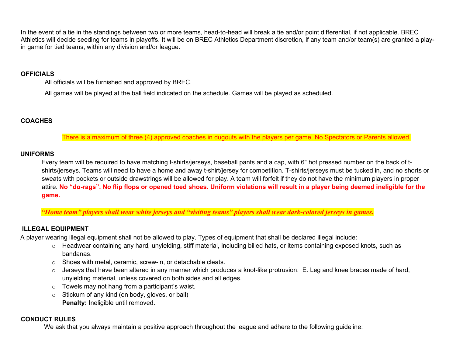In the event of a tie in the standings between two or more teams, head-to-head will break a tie and/or point differential, if not applicable. BREC Athletics will decide seeding for teams in playoffs. It will be on BREC Athletics Department discretion, if any team and/or team(s) are granted a playin game for tied teams, within any division and/or league.

#### **OFFICIALS**

All officials will be furnished and approved by BREC.

All games will be played at the ball field indicated on the schedule. Games will be played as scheduled.

#### **COACHES**

There is a maximum of three (4) approved coaches in dugouts with the players per game. No Spectators or Parents allowed.

#### **UNIFORMS**

Every team will be required to have matching t-shirts/jerseys, baseball pants and a cap, with 6" hot pressed number on the back of tshirts/jerseys. Teams will need to have a home and away t-shirt/jersey for competition. T-shirts/jerseys must be tucked in, and no shorts or sweats with pockets or outside drawstrings will be allowed for play. A team will forfeit if they do not have the minimum players in proper attire. **No "do-rags". No flip flops or opened toed shoes. Uniform violations will result in a player being deemed ineligible for the game.** 

*"Home team" players shall wear white jerseys and "visiting teams" players shall wear dark-colored jerseys in games.*

#### **ILLEGAL EQUIPMENT**

A player wearing illegal equipment shall not be allowed to play. Types of equipment that shall be declared illegal include:

- o Headwear containing any hard, unyielding, stiff material, including billed hats, or items containing exposed knots, such as bandanas.
- o Shoes with metal, ceramic, screw-in, or detachable cleats.
- $\circ$  Jerseys that have been altered in any manner which produces a knot-like protrusion. E. Leg and knee braces made of hard, unyielding material, unless covered on both sides and all edges.
- $\circ$  Towels may not hang from a participant's waist.
- o Stickum of any kind (on body, gloves, or ball) **Penalty:** Ineligible until removed.

#### **CONDUCT RULES**

We ask that you always maintain a positive approach throughout the league and adhere to the following guideline: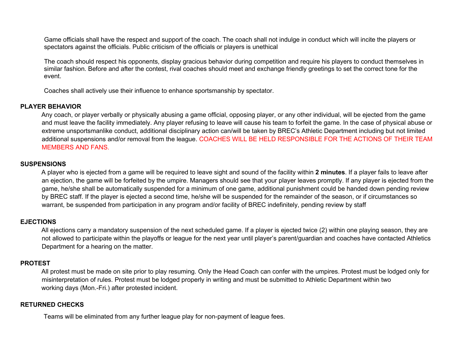Game officials shall have the respect and support of the coach. The coach shall not indulge in conduct which will incite the players or spectators against the officials. Public criticism of the officials or players is unethical

The coach should respect his opponents, display gracious behavior during competition and require his players to conduct themselves in similar fashion. Before and after the contest, rival coaches should meet and exchange friendly greetings to set the correct tone for the event.

Coaches shall actively use their influence to enhance sportsmanship by spectator.

#### **PLAYER BEHAVIOR**

Any coach, or player verbally or physically abusing a game official, opposing player, or any other individual, will be ejected from the game and must leave the facility immediately. Any player refusing to leave will cause his team to forfeit the game. In the case of physical abuse or extreme unsportsmanlike conduct, additional disciplinary action can/will be taken by BREC's Athletic Department including but not limited additional suspensions and/or removal from the league. COACHES WILL BE HELD RESPONSIBLE FOR THE ACTIONS OF THEIR TEAM MEMBERS AND FANS.

#### **SUSPENSIONS**

A player who is ejected from a game will be required to leave sight and sound of the facility within **2 minutes**. If a player fails to leave after an ejection, the game will be forfeited by the umpire. Managers should see that your player leaves promptly. If any player is ejected from the game, he/she shall be automatically suspended for a minimum of one game, additional punishment could be handed down pending review by BREC staff. If the player is ejected a second time, he/she will be suspended for the remainder of the season, or if circumstances so warrant, be suspended from participation in any program and/or facility of BREC indefinitely, pending review by staff

#### **EJECTIONS**

All ejections carry a mandatory suspension of the next scheduled game. If a player is ejected twice (2) within one playing season, they are not allowed to participate within the playoffs or league for the next year until player's parent/guardian and coaches have contacted Athletics Department for a hearing on the matter.

#### **PROTEST**

All protest must be made on site prior to play resuming. Only the Head Coach can confer with the umpires. Protest must be lodged only for misinterpretation of rules. Protest must be lodged properly in writing and must be submitted to Athletic Department within two working days (Mon.-Fri.) after protested incident.

#### **RETURNED CHECKS**

Teams will be eliminated from any further league play for non-payment of league fees.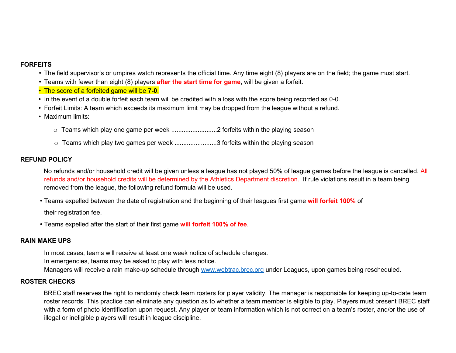#### **FORFEITS**

- The field supervisor's or umpires watch represents the official time. Any time eight (8) players are on the field; the game must start.
- Teams with fewer than eight (8) players **after the start time for game**, will be given a forfeit.
- The score of a forfeited game will be **7-0**.
- In the event of a double forfeit each team will be credited with a loss with the score being recorded as 0-0.
- Forfeit Limits: A team which exceeds its maximum limit may be dropped from the league without a refund.
- Maximum limits:
	- o Teams which play one game per week ..........................2 forfeits within the playing season
	- o Teams which play two games per week ............................3 forfeits within the playing season

#### **REFUND POLICY**

No refunds and/or household credit will be given unless a league has not played 50% of league games before the league is cancelled. All refunds and/or household credits will be determined by the Athletics Department discretion. If rule violations result in a team being removed from the league, the following refund formula will be used.

• Teams expelled between the date of registration and the beginning of their leagues first game **will forfeit 100%** of

their registration fee.

• Teams expelled after the start of their first game **will forfeit 100% of fee**.

#### **RAIN MAKE UPS**

In most cases, teams will receive at least one week notice of schedule changes.

In emergencies, teams may be asked to play with less notice.

Managers will receive a rain make-up schedule through [www.webtrac.brec.org](http://www.webtrac.brec.org/) under Leagues, upon games being rescheduled.

#### **ROSTER CHECKS**

BREC staff reserves the right to randomly check team rosters for player validity. The manager is responsible for keeping up-to-date team roster records. This practice can eliminate any question as to whether a team member is eligible to play. Players must present BREC staff with a form of photo identification upon request. Any player or team information which is not correct on a team's roster, and/or the use of illegal or ineligible players will result in league discipline.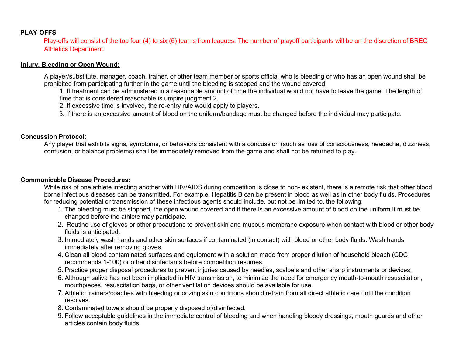#### **PLAY-OFFS**

Play-offs will consist of the top four (4) to six (6) teams from leagues. The number of playoff participants will be on the discretion of BREC Athletics Department.

#### **Injury, Bleeding or Open Wound:**

A player/substitute, manager, coach, trainer, or other team member or sports official who is bleeding or who has an open wound shall be prohibited from participating further in the game until the bleeding is stopped and the wound covered.

1. If treatment can be administered in a reasonable amount of time the individual would not have to leave the game. The length of time that is considered reasonable is umpire judgment.2.

2. If excessive time is involved, the re-entry rule would apply to players.

3. If there is an excessive amount of blood on the uniform/bandage must be changed before the individual may participate.

#### **Concussion Protocol:**

Any player that exhibits signs, symptoms, or behaviors consistent with a concussion (such as loss of consciousness, headache, dizziness, confusion, or balance problems) shall be immediately removed from the game and shall not be returned to play.

#### **Communicable Disease Procedures:**

While risk of one athlete infecting another with HIV/AIDS during competition is close to non-existent, there is a remote risk that other blood borne infectious diseases can be transmitted. For example, Hepatitis B can be present in blood as well as in other body fluids. Procedures for reducing potential or transmission of these infectious agents should include, but not be limited to, the following:

- 1. The bleeding must be stopped, the open wound covered and if there is an excessive amount of blood on the uniform it must be changed before the athlete may participate.
- 2. Routine use of gloves or other precautions to prevent skin and mucous-membrane exposure when contact with blood or other body fluids is anticipated.
- 3. Immediately wash hands and other skin surfaces if contaminated (in contact) with blood or other body fluids. Wash hands immediately after removing gloves.
- 4. Clean all blood contaminated surfaces and equipment with a solution made from proper dilution of household bleach (CDC recommends 1-100) or other disinfectants before competition resumes.
- 5. Practice proper disposal procedures to prevent injuries caused by needles, scalpels and other sharp instruments or devices.
- 6. Although saliva has not been implicated in HIV transmission, to minimize the need for emergency mouth-to-mouth resuscitation, mouthpieces, resuscitation bags, or other ventilation devices should be available for use.
- 7. Athletic trainers/coaches with bleeding or oozing skin conditions should refrain from all direct athletic care until the condition resolves.
- 8. Contaminated towels should be properly disposed of/disinfected.
- 9. Follow acceptable guidelines in the immediate control of bleeding and when handling bloody dressings, mouth guards and other articles contain body fluids.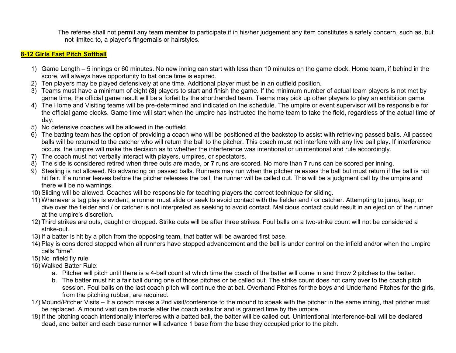The referee shall not permit any team member to participate if in his/her judgement any item constitutes a safety concern, such as, but not limited to, a player's fingernails or hairstyles.

#### **8-12 Girls Fast Pitch Softball**

- 1) Game Length 5 innings or 60 minutes. No new inning can start with less than 10 minutes on the game clock. Home team, if behind in the score, will always have opportunity to bat once time is expired.
- 2) Ten players may be played defensively at one time. Additional player must be in an outfield position.
- 3) Teams must have a minimum of eight **(8)** players to start and finish the game. If the minimum number of actual team players is not met by game time, the official game result will be a forfeit by the shorthanded team. Teams may pick up other players to play an exhibition game.
- 4) The Home and Visiting teams will be pre-determined and indicated on the schedule. The umpire or event supervisor will be responsible for the official game clocks. Game time will start when the umpire has instructed the home team to take the field, regardless of the actual time of day.
- 5) No defensive coaches will be allowed in the outfield.
- 6) The batting team has the option of providing a coach who will be positioned at the backstop to assist with retrieving passed balls. All passed balls will be returned to the catcher who will return the ball to the pitcher. This coach must not interfere with any live ball play. If interference occurs, the umpire will make the decision as to whether the interference was intentional or unintentional and rule accordingly.
- 7) The coach must not verbally interact with players, umpires, or spectators.
- 8) The side is considered retired when three outs are made, or **7** runs are scored. No more than **7** runs can be scored per inning.
- 9) Stealing is not allowed. No advancing on passed balls. Runners may run when the pitcher releases the ball but must return if the ball is not hit fair. If a runner leaves before the pitcher releases the ball, the runner will be called out. This will be a judgment call by the umpire and there will be no warnings.
- 10) Sliding will be allowed. Coaches will be responsible for teaching players the correct technique for sliding.
- 11) Whenever a tag play is evident, a runner must slide or seek to avoid contact with the fielder and / or catcher. Attempting to jump, leap, or dive over the fielder and / or catcher is not interpreted as seeking to avoid contact. Malicious contact could result in an ejection of the runner at the umpire's discretion.
- 12) Third strikes are outs, caught or dropped. Strike outs will be after three strikes. Foul balls on a two-strike count will not be considered a strike-out.
- 13) If a batter is hit by a pitch from the opposing team, that batter will be awarded first base.
- 14) Play is considered stopped when all runners have stopped advancement and the ball is under control on the infield and/or when the umpire calls "time".
- 15) No infield fly rule
- 16) Walked Batter Rule:
	- a. Pitcher will pitch until there is a 4-ball count at which time the coach of the batter will come in and throw 2 pitches to the batter.
	- b. The batter must hit a fair ball during one of those pitches or be called out. The strike count does not carry over to the coach pitch session. Foul balls on the last coach pitch will continue the at bat. Overhand Pitches for the boys and Underhand Pitches for the girls, from the pitching rubber, are required.
- 17) Mound/Pitcher Visits If a coach makes a 2nd visit/conference to the mound to speak with the pitcher in the same inning, that pitcher must be replaced. A mound visit can be made after the coach asks for and is granted time by the umpire.
- 18) If the pitching coach intentionally interferes with a batted ball, the batter will be called out. Unintentional interference-ball will be declared dead, and batter and each base runner will advance 1 base from the base they occupied prior to the pitch.